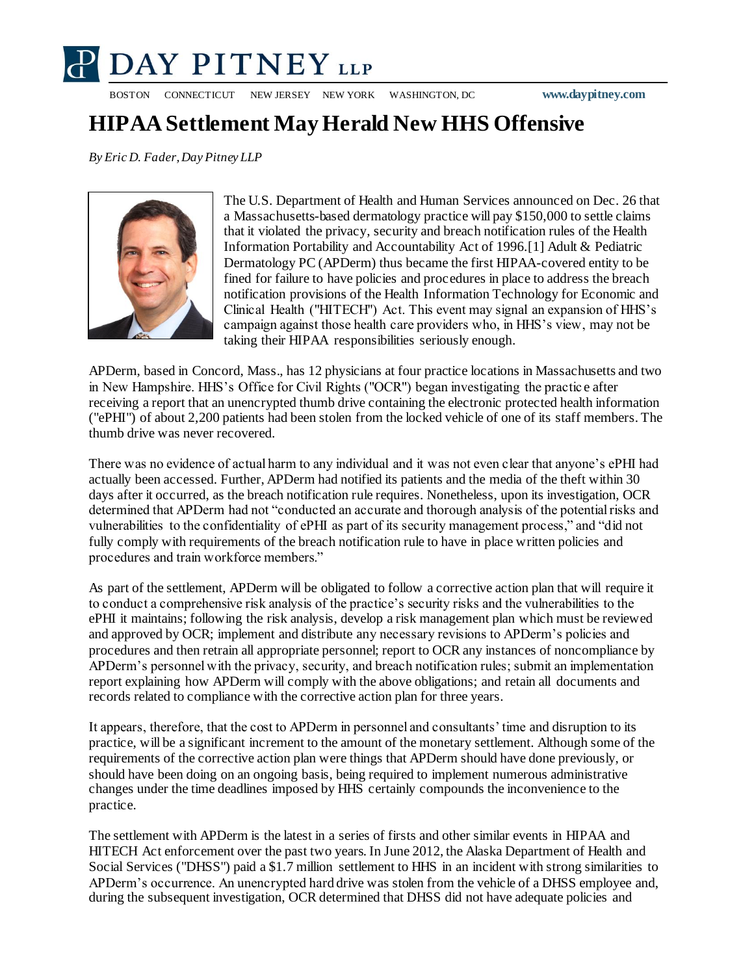

BOSTON CONNECTICUT NEW JERSEY NEW YORK WASHINGTON, DC **www.daypitney.com**

## **HIPAA Settlement May Herald New HHS Offensive**

*By Eric D. Fader,Day Pitney LLP*



The U.S. Department of Health and Human Services announced on Dec. 26 that a Massachusetts-based dermatology practice will pay \$150,000 to settle claims that it violated the privacy, security and breach notification rules of the Health Information Portability and Accountability Act of 1996.[1] Adult & Pediatric Dermatology PC (APDerm) thus became the first HIPAA-covered entity to be fined for failure to have policies and procedures in place to address the breach notification provisions of the Health Information Technology for Economic and Clinical Health ("HITECH") Act. This event may signal an expansion of HHS's campaign against those health care providers who, in HHS's view, may not be taking their HIPAA responsibilities seriously enough.

APDerm, based in Concord, Mass., has 12 physicians at four practice locations in Massachusetts and two in New Hampshire. HHS's Office for Civil Rights ("OCR") began investigating the practic e after receiving a report that an unencrypted thumb drive containing the electronic protected health information ("ePHI") of about 2,200 patients had been stolen from the locked vehicle of one of its staff members. The thumb drive was never recovered.

There was no evidence of actual harm to any individual and it was not even clear that anyone's ePHI had actually been accessed. Further, APDerm had notified its patients and the media of the theft within 30 days after it occurred, as the breach notification rule requires. Nonetheless, upon its investigation, OCR determined that APDerm had not "conducted an accurate and thorough analysis of the potential risks and vulnerabilities to the confidentiality of ePHI as part of its security management process," and "did not fully comply with requirements of the breach notification rule to have in place written policies and procedures and train workforce members."

As part of the settlement, APDerm will be obligated to follow a corrective action plan that will require it to conduct a comprehensive risk analysis of the practice's security risks and the vulnerabilities to the ePHI it maintains; following the risk analysis, develop a risk management plan which must be reviewed and approved by OCR; implement and distribute any necessary revisions to APDerm's policies and procedures and then retrain all appropriate personnel; report to OCR any instances of noncompliance by APDerm's personnel with the privacy, security, and breach notification rules; submit an implementation report explaining how APDerm will comply with the above obligations; and retain all documents and records related to compliance with the corrective action plan for three years.

It appears, therefore, that the cost to APDerm in personnel and consultants' time and disruption to its practice, will be a significant increment to the amount of the monetary settlement. Although some of the requirements of the corrective action plan were things that APDerm should have done previously, or should have been doing on an ongoing basis, being required to implement numerous administrative changes under the time deadlines imposed by HHS certainly compounds the inconvenience to the practice.

The settlement with APDerm is the latest in a series of firsts and other similar events in HIPAA and HITECH Act enforcement over the past two years. In June 2012, the Alaska Department of Health and Social Services ("DHSS") paid a \$1.7 million settlement to HHS in an incident with strong similarities to APDerm's occurrence. An unencrypted hard drive was stolen from the vehicle of a DHSS employee and, during the subsequent investigation, OCR determined that DHSS did not have adequate policies and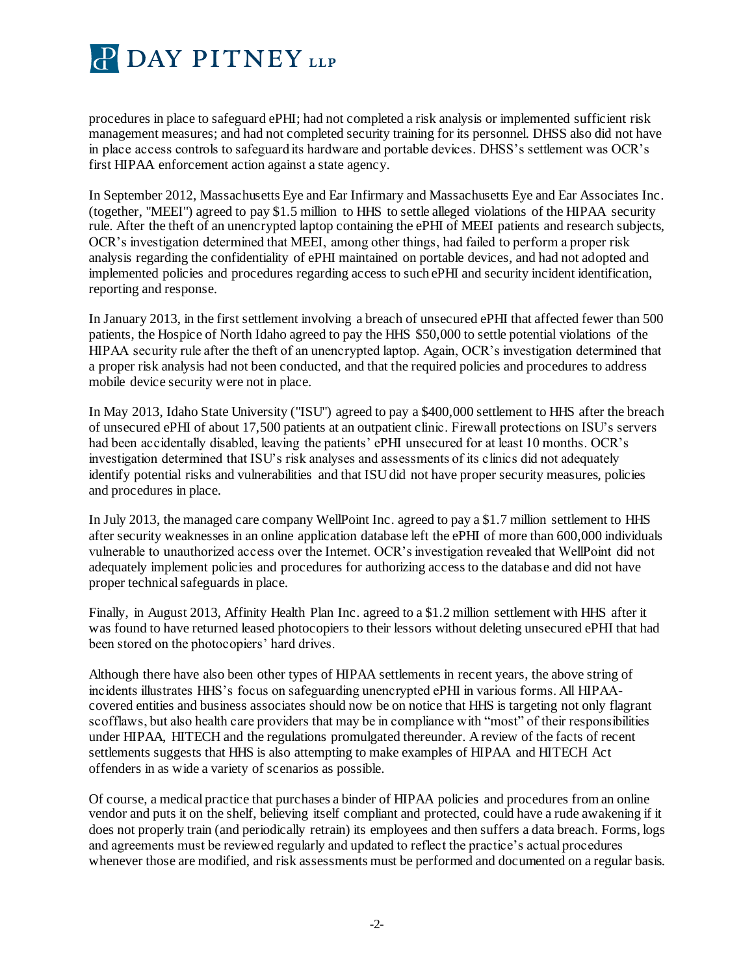

procedures in place to safeguard ePHI; had not completed a risk analysis or implemented sufficient risk management measures; and had not completed security training for its personnel. DHSS also did not have in place access controls to safeguard its hardware and portable devices. DHSS's settlement was OCR's first HIPAA enforcement action against a state agency.

In September 2012, Massachusetts Eye and Ear Infirmary and Massachusetts Eye and Ear Associates Inc. (together, "MEEI") agreed to pay \$1.5 million to HHS to settle alleged violations of the HIPAA security rule. After the theft of an unencrypted laptop containing the ePHI of MEEI patients and research subjects, OCR's investigation determined that MEEI, among other things, had failed to perform a proper risk analysis regarding the confidentiality of ePHI maintained on portable devices, and had not adopted and implemented policies and procedures regarding access to such ePHI and security incident identification, reporting and response.

In January 2013, in the first settlement involving a breach of unsecured ePHI that affected fewer than 500 patients, the Hospice of North Idaho agreed to pay the HHS \$50,000 to settle potential violations of the HIPAA security rule after the theft of an unencrypted laptop. Again, OCR's investigation determined that a proper risk analysis had not been conducted, and that the required policies and procedures to address mobile device security were not in place.

In May 2013, Idaho State University ("ISU") agreed to pay a \$400,000 settlement to HHS after the breach of unsecured ePHI of about 17,500 patients at an outpatient clinic. Firewall protections on ISU's servers had been accidentally disabled, leaving the patients' ePHI unsecured for at least 10 months. OCR's investigation determined that ISU's risk analyses and assessments of its clinics did not adequately identify potential risks and vulnerabilities and that ISU did not have proper security measures, policies and procedures in place.

In July 2013, the managed care company WellPoint Inc. agreed to pay a \$1.7 million settlement to HHS after security weaknesses in an online application database left the ePHI of more than 600,000 individuals vulnerable to unauthorized access over the Internet. OCR's investigation revealed that WellPoint did not adequately implement policies and procedures for authorizing access to the database and did not have proper technical safeguards in place.

Finally, in August 2013, Affinity Health Plan Inc. agreed to a \$1.2 million settlement with HHS after it was found to have returned leased photocopiers to their lessors without deleting unsecured ePHI that had been stored on the photocopiers' hard drives.

Although there have also been other types of HIPAA settlements in recent years, the above string of incidents illustrates HHS's focus on safeguarding unencrypted ePHI in various forms. All HIPAAcovered entities and business associates should now be on notice that HHS is targeting not only flagrant scofflaws, but also health care providers that may be in compliance with "most" of their responsibilities under HIPAA, HITECH and the regulations promulgated thereunder. A review of the facts of recent settlements suggests that HHS is also attempting to make examples of HIPAA and HITECH Act offenders in as wide a variety of scenarios as possible.

Of course, a medical practice that purchases a binder of HIPAA policies and procedures from an online vendor and puts it on the shelf, believing itself compliant and protected, could have a rude awakening if it does not properly train (and periodically retrain) its employees and then suffers a data breach. Forms, logs and agreements must be reviewed regularly and updated to reflect the practice's actual procedures whenever those are modified, and risk assessments must be performed and documented on a regular basis.